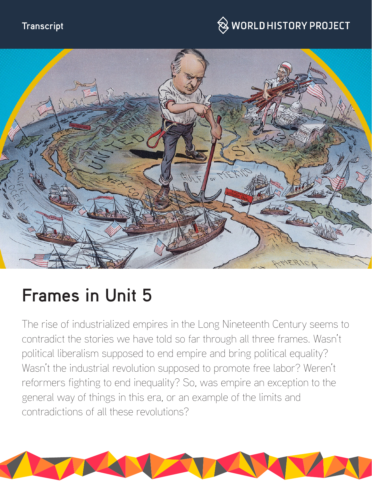#### **Transcript**

## $\hspace{0.1cm}\otimes\hspace{0.1cm}$  WORLD HISTORY PROJECT



# **Frames in Unit 5**

The rise of industrialized empires in the Long Nineteenth Century seems to contradict the stories we have told so far through all three frames. Wasn't political liberalism supposed to end empire and bring political equality? Wasn't the industrial revolution supposed to promote free labor? Weren't reformers fighting to end inequality? So, was empire an exception to the general way of things in this era, or an example of the limits and contradictions of all these revolutions?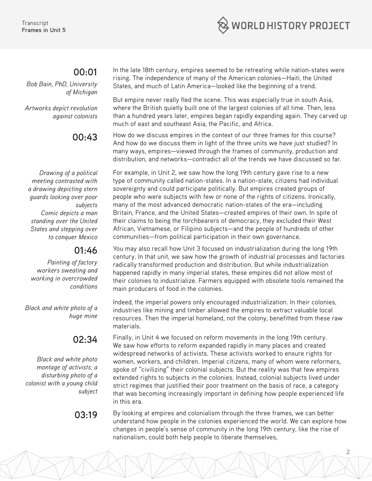

#### **00:01**

*Bob Bain, PhD, University of Michigan*

*Artworks depict revolution against colonists*

#### **00:43**

*Drawing of a political meeting contrasted with a drawing depicting stern guards looking over poor subjects Comic depicts a man standing over the United States and stepping over to conquer Mexico* 

#### **01:46**

*Painting of factory workers sweating and working in overcrowded conditions*

*Black and white photo of a huge mine*

### **02:34**

*Black and white photo montage of activists; a disturbing photo of a colonist with a young child subject*

In the late 18th century, empires seemed to be retreating while nation-states were rising. The independence of many of the American colonies—Haiti, the United States, and much of Latin America—looked like the beginning of a trend.

But empire never really fled the scene. This was especially true in south Asia, where the British quietly built one of the largest colonies of all time. Then, less than a hundred years later, empires began rapidly expanding again. They carved up much of east and southeast Asia, the Pacific, and Africa.

How do we discuss empires in the context of our three frames for this course? And how do we discuss them in light of the three units we have just studied? In many ways, empires—viewed through the frames of community, production and distribution, and networks—contradict all of the trends we have discussed so far.

For example, in Unit 2, we saw how the long 19th century gave rise to a new type of community called nation-states. In a nation-state, citizens had individual sovereignty and could participate politically. But empires created groups of people who were subjects with few or none of the rights of citizens. Ironically, many of the most advanced democratic nation-states of the era—including Britain, France, and the United States—created empires of their own. In spite of their claims to being the torchbearers of democracy, they excluded their West African, Vietnamese, or Filipino subjects—and the people of hundreds of other communities—from political participation in their own governance.

You may also recall how Unit 3 focused on industrialization during the long 19th century. In that unit, we saw how the growth of industrial processes and factories radically transformed production and distribution. But while industrialization happened rapidly in many imperial states, these empires did not allow most of their colonies to industrialize. Farmers equipped with obsolete tools remained the main producers of food in the colonies.

Indeed, the imperial powers only encouraged industrialization. In their colonies, industries like mining and timber allowed the empires to extract valuable local resources. Then the imperial homeland, not the colony, benefitted from these raw materials.

Finally, in Unit 4 we focused on reform movements in the long 19th century. We saw how efforts to reform expanded rapidly in many places and created widespread networks of activists. These activists worked to ensure rights for women, workers, and children. Imperial citizens, many of whom were reformers, spoke of "civilizing" their colonial subjects. But the reality was that few empires extended rights to subjects in the colonies. Instead, colonial subjects lived under strict regimes that justified their poor treatment on the basis of race, a category that was becoming increasingly important in defining how people experienced life in this era.

**03.19** By looking at empires and colonialism through the three frames, we can better understand how people in the colonies experienced the world. We can explore how changes in people's sense of community in the long 19th century, like the rise of nationalism, could both help people to liberate themselves,

2